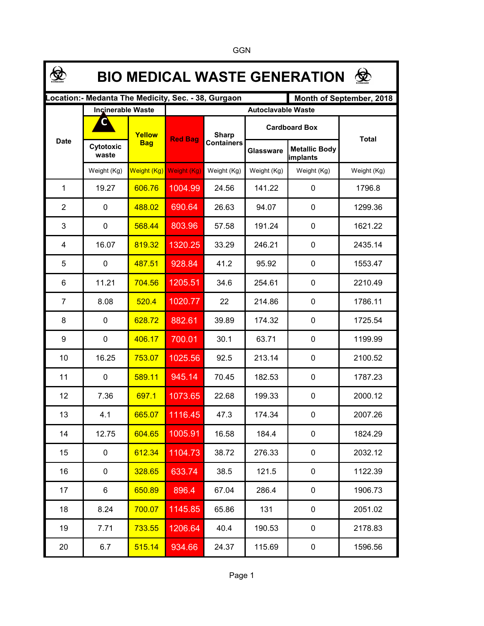| 佥<br><b>BIO MEDICAL WASTE GENERATION</b>                                        |                    |                      |                           |                                   |                      |                                  |              |  |  |  |  |  |
|---------------------------------------------------------------------------------|--------------------|----------------------|---------------------------|-----------------------------------|----------------------|----------------------------------|--------------|--|--|--|--|--|
| Location:- Medanta The Medicity, Sec. - 38, Gurgaon<br>Month of September, 2018 |                    |                      |                           |                                   |                      |                                  |              |  |  |  |  |  |
|                                                                                 | Incinerable Waste  |                      | <b>Autoclavable Waste</b> |                                   |                      |                                  |              |  |  |  |  |  |
| <b>Date</b>                                                                     |                    | Yellow<br><b>Bag</b> | <b>Red Bag</b>            | <b>Sharp</b><br><b>Containers</b> | <b>Cardboard Box</b> |                                  | <b>Total</b> |  |  |  |  |  |
|                                                                                 | Cytotoxic<br>waste |                      |                           |                                   | <b>Glassware</b>     | <b>Metallic Body</b><br>implants |              |  |  |  |  |  |
|                                                                                 | Weight (Kg)        | Weight (Kg)          | Weight (Kg)               | Weight (Kg)                       | Weight (Kg)          | Weight (Kg)                      | Weight (Kg)  |  |  |  |  |  |
| 1                                                                               | 19.27              | 606.76               | 1004.99                   | 24.56                             | 141.22               | 0                                | 1796.8       |  |  |  |  |  |
| 2                                                                               | 0                  | 488.02               | 690.64                    | 26.63                             | 94.07                | 0                                | 1299.36      |  |  |  |  |  |
| 3                                                                               | 0                  | 568.44               | 803.96                    | 57.58                             | 191.24               | $\mathbf 0$                      | 1621.22      |  |  |  |  |  |
| 4                                                                               | 16.07              | 819.32               | 1320.25                   | 33.29                             | 246.21               | $\mathbf 0$                      | 2435.14      |  |  |  |  |  |
| 5                                                                               | 0                  | 487.51               | 928.84                    | 41.2                              | 95.92                | $\mathbf 0$                      | 1553.47      |  |  |  |  |  |
| 6                                                                               | 11.21              | 704.56               | 1205.51                   | 34.6                              | 254.61               | $\mathbf 0$                      | 2210.49      |  |  |  |  |  |
| 7                                                                               | 8.08               | 520.4                | 1020.77                   | 22                                | 214.86               | $\mathbf 0$                      | 1786.11      |  |  |  |  |  |
| 8                                                                               | 0                  | 628.72               | 882.61                    | 39.89                             | 174.32               | 0                                | 1725.54      |  |  |  |  |  |
| 9                                                                               | 0                  | 406.17               | 700.01                    | 30.1                              | 63.71                | 0                                | 1199.99      |  |  |  |  |  |
| 10                                                                              | 16.25              | 753.07               | 1025.56                   | 92.5                              | 213.14               | 0                                | 2100.52      |  |  |  |  |  |
| 11                                                                              | 0                  | 589.11               | 945.14                    | 70.45                             | 182.53               | 0                                | 1787.23      |  |  |  |  |  |
| 12                                                                              | 7.36               | 697.1                | 1073.65                   | 22.68                             | 199.33               | 0                                | 2000.12      |  |  |  |  |  |
| 13                                                                              | 4.1                | 665.07               | 1116.45                   | 47.3                              | 174.34               | 0                                | 2007.26      |  |  |  |  |  |
| 14                                                                              | 12.75              | 604.65               | 1005.91                   | 16.58                             | 184.4                | $\mathbf 0$                      | 1824.29      |  |  |  |  |  |
| 15                                                                              | 0                  | 612.34               | 1104.73                   | 38.72                             | 276.33               | 0                                | 2032.12      |  |  |  |  |  |
| 16                                                                              | 0                  | 328.65               | 633.74                    | 38.5                              | 121.5                | $\mathbf 0$                      | 1122.39      |  |  |  |  |  |
| 17                                                                              | 6                  | 650.89               | 896.4                     | 67.04                             | 286.4                | $\mathbf 0$                      | 1906.73      |  |  |  |  |  |
| 18                                                                              | 8.24               | 700.07               | 1145.85                   | 65.86                             | 131                  | $\mathbf 0$                      | 2051.02      |  |  |  |  |  |
| 19                                                                              | 7.71               | 733.55               | 1206.64                   | 40.4                              | 190.53               | $\mathbf 0$                      | 2178.83      |  |  |  |  |  |
| 20                                                                              | 6.7                | 515.14               | 934.66                    | 24.37                             | 115.69               | 0                                | 1596.56      |  |  |  |  |  |

GGN